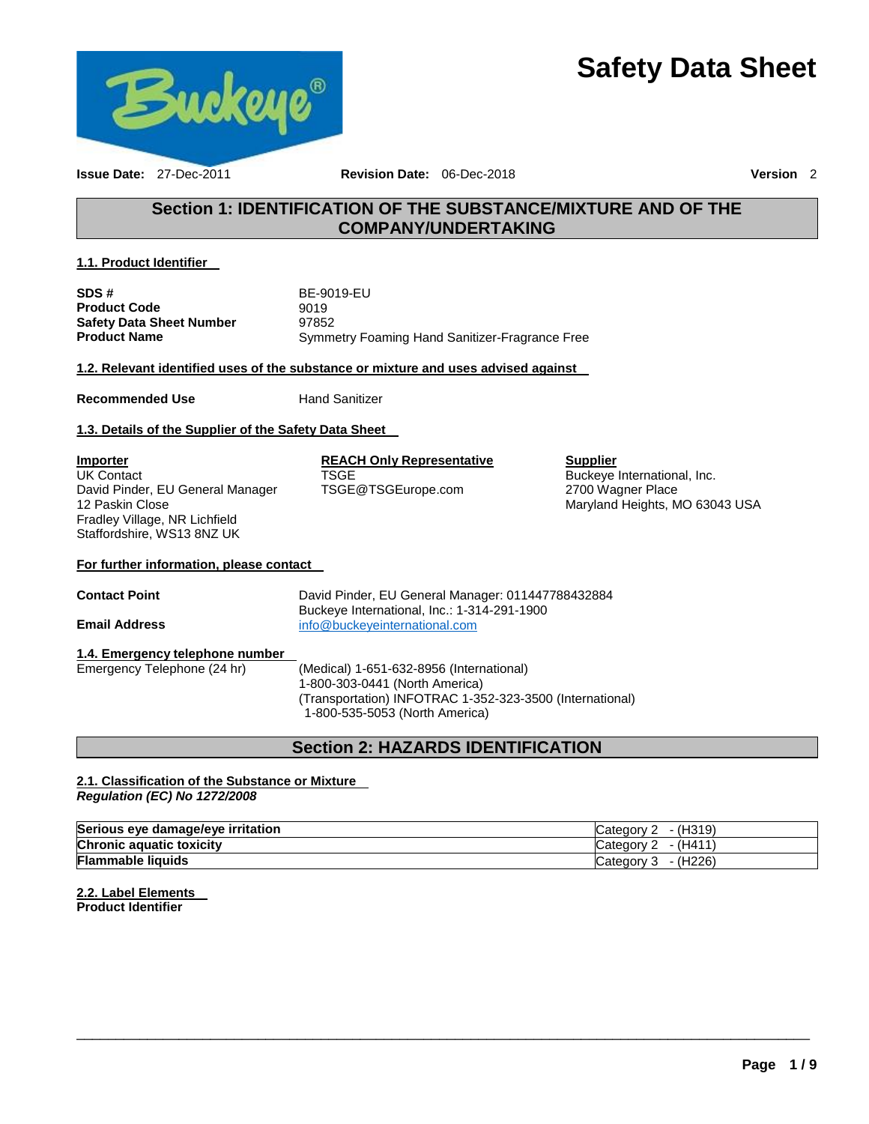# **Safety Data Sheet**



**Issue Date:** 27-Dec-2011 **Revision Date:** 06-Dec-2018 **Version** 2

### **Section 1: IDENTIFICATION OF THE SUBSTANCE/MIXTURE AND OF THE COMPANY/UNDERTAKING**

#### **1.1. Product Identifier**

**SDS #** BE-9019-EU **Product Code 9019 Safety Data Sheet Number** 97852 **Product Name** Symmetry Foaming Hand Sanitizer-Fragrance Free

**1.2. Relevant identified uses of the substance or mixture and uses advised against** 

**Recommended Use Commended Use Example 20 Hand Sanitizer** 

### **1.3. Details of the Supplier of the Safety Data Sheet**

**Importer** UK Contact David Pinder, EU General Manager 12 Paskin Close Fradley Village, NR Lichfield Staffordshire, WS13 8NZ UK

**REACH Only Representative TSGE** TSGE@TSGEurope.com

#### **Supplier**

Buckeye International, Inc. 2700 Wagner Place Maryland Heights, MO 63043 USA

#### **For further information, please contact**

**Contact Point** David Pinder, EU General Manager: 011447788432884 Buckeye International, Inc.: 1-314-291-1900 **Email Address** [info@buckeyeinternational.com](mailto:info@buckeyeinternational.com)

#### **1.4. Emergency telephone number**

Emergency Telephone (24 hr) (Medical) 1-651-632-8956 (International) 1-800-303-0441 (North America) (Transportation) INFOTRAC 1-352-323-3500 (International) 1-800-535-5053 (North America)

### **Section 2: HAZARDS IDENTIFICATION**

#### **2.1. Classification of the Substance or Mixture**  *Regulation (EC) No 1272/2008*

| Serious eye damage/eye irritation | - (H319)<br>∴ateαorv     |
|-----------------------------------|--------------------------|
| <b>Chronic aquatic toxicity</b>   | $- (H411)$<br>′ ategor∨ت |
| <b>Flammable liquids</b>          | $-$ (H226)<br>Category   |

\_\_\_\_\_\_\_\_\_\_\_\_\_\_\_\_\_\_\_\_\_\_\_\_\_\_\_\_\_\_\_\_\_\_\_\_\_\_\_\_\_\_\_\_\_\_\_\_\_\_\_\_\_\_\_\_\_\_\_\_\_\_\_\_\_\_\_\_\_\_\_\_\_\_\_\_\_\_\_\_\_\_\_\_\_\_\_\_\_\_\_\_\_

**2.2. Label Elements Product Identifier**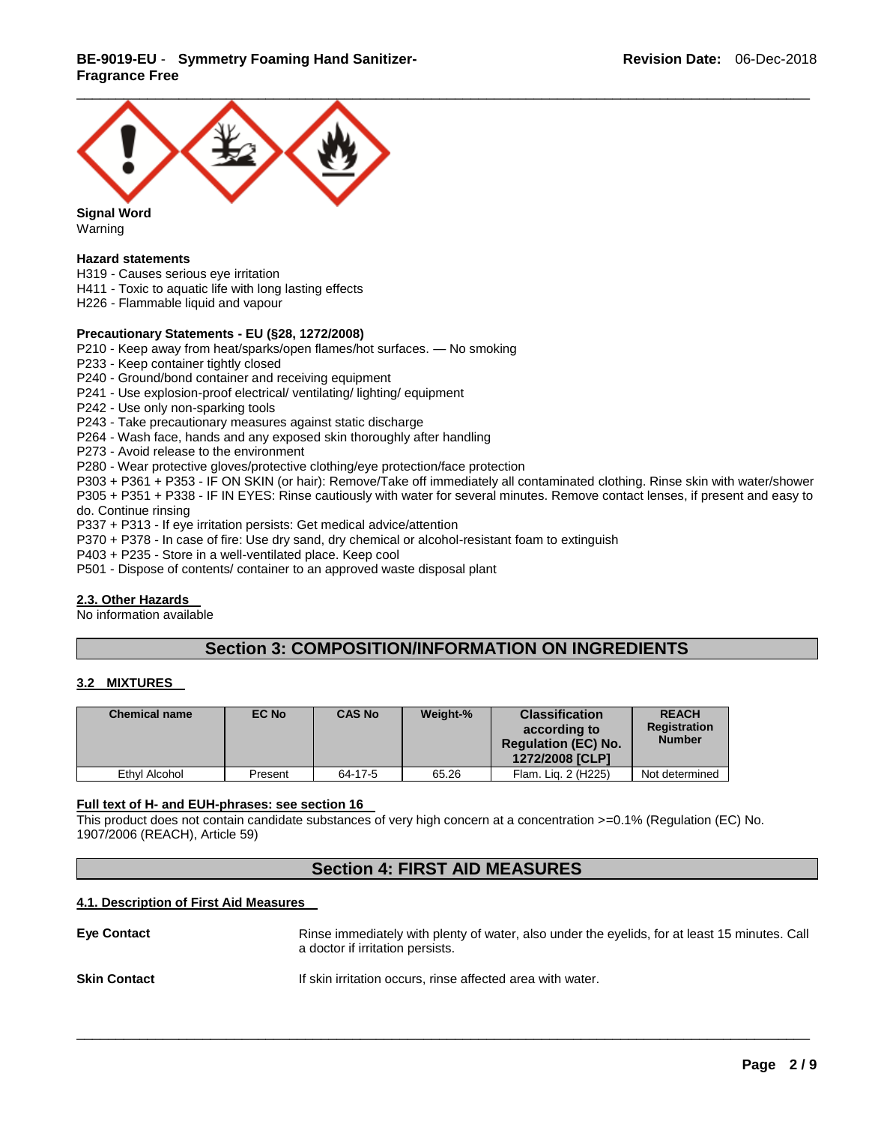### **BE-9019-EU** - **Symmetry Foaming Hand Sanitizer-Fragrance Free**



**Signal Word** Warning

#### **Hazard statements**

- H319 Causes serious eye irritation
- H411 Toxic to aquatic life with long lasting effects
- H226 Flammable liquid and vapour

#### **Precautionary Statements - EU (§28, 1272/2008)**

P210 - Keep away from heat/sparks/open flames/hot surfaces. — No smoking

P233 - Keep container tightly closed

P240 - Ground/bond container and receiving equipment

- P241 Use explosion-proof electrical/ ventilating/ lighting/ equipment
- P242 Use only non-sparking tools

P243 - Take precautionary measures against static discharge

P264 - Wash face, hands and any exposed skin thoroughly after handling

P273 - Avoid release to the environment

P280 - Wear protective gloves/protective clothing/eye protection/face protection

P303 + P361 + P353 - IF ON SKIN (or hair): Remove/Take off immediately all contaminated clothing. Rinse skin with water/shower P305 + P351 + P338 - IF IN EYES: Rinse cautiously with water for several minutes. Remove contact lenses, if present and easy to do. Continue rinsing

P337 + P313 - If eye irritation persists: Get medical advice/attention

- P370 + P378 In case of fire: Use dry sand, dry chemical or alcohol-resistant foam to extinguish
- P403 + P235 Store in a well-ventilated place. Keep cool
- P501 Dispose of contents/ container to an approved waste disposal plant

#### **2.3. Other Hazards**

No information available

### **Section 3: COMPOSITION/INFORMATION ON INGREDIENTS**

#### **3.2 MIXTURES**

| <b>Chemical name</b> | EC No   | <b>CAS No</b> | Weight-% | <b>Classification</b><br>according to<br><b>Regulation (EC) No.</b><br>1272/2008 [CLP] | <b>REACH</b><br><b>Registration</b><br><b>Number</b> |
|----------------------|---------|---------------|----------|----------------------------------------------------------------------------------------|------------------------------------------------------|
| Ethyl Alcohol        | Present | 64-17-5       | 65.26    | Flam, Lig. 2 (H225)                                                                    | Not determined                                       |

#### **Full text of H- and EUH-phrases: see section 16**

This product does not contain candidate substances of very high concern at a concentration >=0.1% (Regulation (EC) No. 1907/2006 (REACH), Article 59)

### **Section 4: FIRST AID MEASURES**

#### **4.1. Description of First Aid Measures**

| <b>Eve Contact</b>  | Rinse immediately with plenty of water, also under the eyelids, for at least 15 minutes. Call<br>a doctor if irritation persists. |
|---------------------|-----------------------------------------------------------------------------------------------------------------------------------|
| <b>Skin Contact</b> | If skin irritation occurs, rinse affected area with water.                                                                        |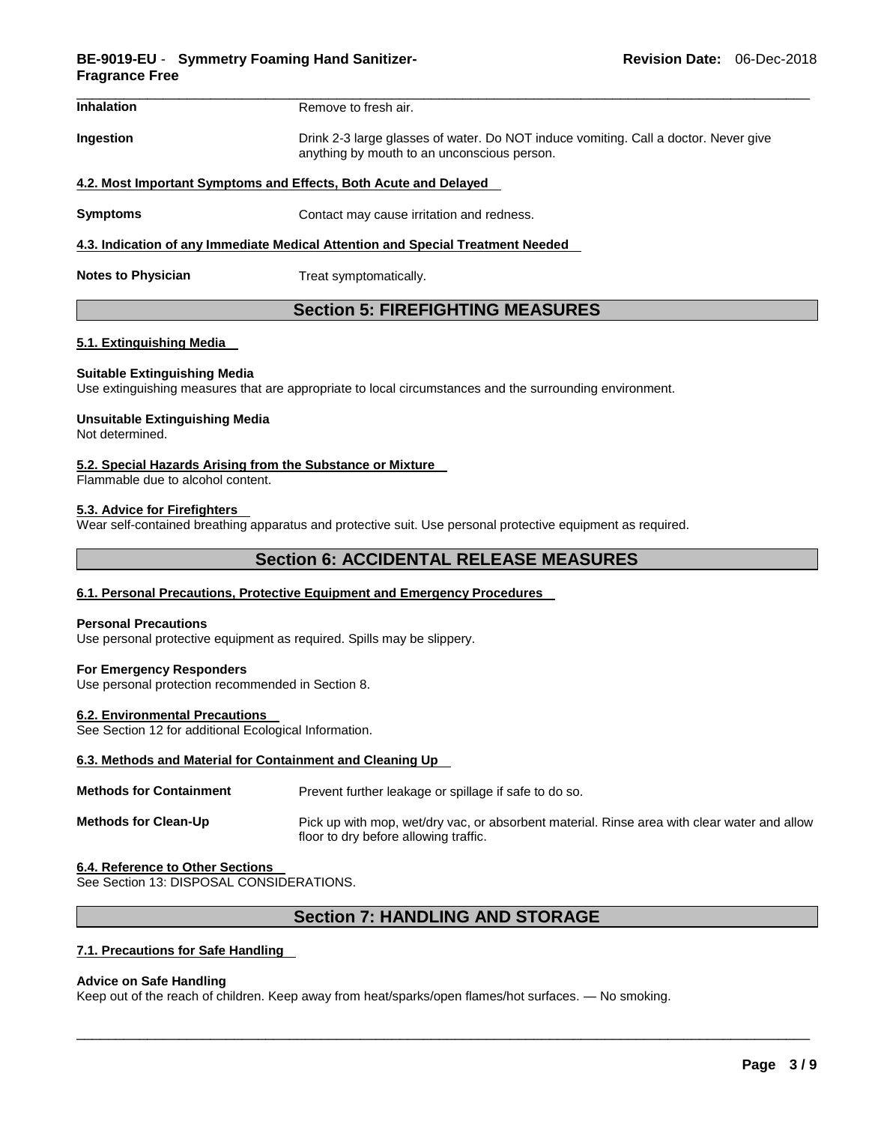| <b>Inhalation</b> | Remove to fresh air.                                                                                                               |
|-------------------|------------------------------------------------------------------------------------------------------------------------------------|
| Ingestion         | Drink 2-3 large glasses of water. Do NOT induce vomiting. Call a doctor. Never give<br>anything by mouth to an unconscious person. |

#### **4.2. Most Important Symptoms and Effects, Both Acute and Delayed**

**Symptoms Contact may cause irritation and redness.** 

#### **4.3. Indication of any Immediate Medical Attention and Special Treatment Needed**

**Notes to Physician**  Treat symptomatically.

### **Section 5: FIREFIGHTING MEASURES**

#### **5.1. Extinguishing Media**

#### **Suitable Extinguishing Media**

Use extinguishing measures that are appropriate to local circumstances and the surrounding environment.

### **Unsuitable Extinguishing Media**

Not determined.

#### **5.2. Special Hazards Arising from the Substance or Mixture**

Flammable due to alcohol content.

#### **5.3. Advice for Firefighters**

Wear self-contained breathing apparatus and protective suit. Use personal protective equipment as required.

### **Section 6: ACCIDENTAL RELEASE MEASURES**

#### **6.1. Personal Precautions, Protective Equipment and Emergency Procedures**

#### **Personal Precautions**

Use personal protective equipment as required. Spills may be slippery.

#### **For Emergency Responders**

Use personal protection recommended in Section 8.

#### **6.2. Environmental Precautions**

See Section 12 for additional Ecological Information.

#### **6.3. Methods and Material for Containment and Cleaning Up**

| <b>Methods for Containment</b> | Prevent further leakage or spillage if safe to do so.                                                                                |
|--------------------------------|--------------------------------------------------------------------------------------------------------------------------------------|
| <b>Methods for Clean-Up</b>    | Pick up with mop, wet/dry vac, or absorbent material. Rinse area with clear water and allow<br>floor to dry before allowing traffic. |

#### **6.4. Reference to Other Sections**

See Section 13: DISPOSAL CONSIDERATIONS.

### **Section 7: HANDLING AND STORAGE**

\_\_\_\_\_\_\_\_\_\_\_\_\_\_\_\_\_\_\_\_\_\_\_\_\_\_\_\_\_\_\_\_\_\_\_\_\_\_\_\_\_\_\_\_\_\_\_\_\_\_\_\_\_\_\_\_\_\_\_\_\_\_\_\_\_\_\_\_\_\_\_\_\_\_\_\_\_\_\_\_\_\_\_\_\_\_\_\_\_\_\_\_\_

#### **7.1. Precautions for Safe Handling**

#### **Advice on Safe Handling**

Keep out of the reach of children. Keep away from heat/sparks/open flames/hot surfaces. — No smoking.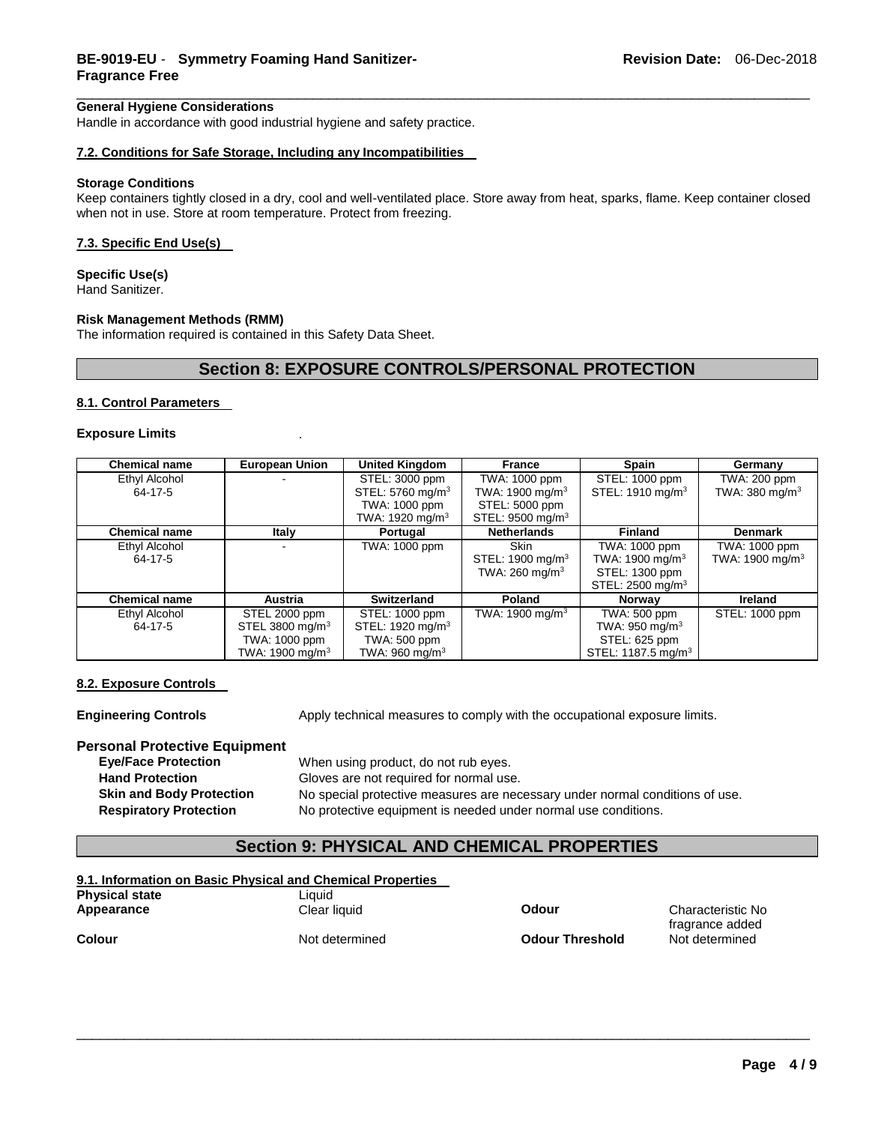#### **General Hygiene Considerations**

Handle in accordance with good industrial hygiene and safety practice.

#### **7.2. Conditions for Safe Storage, Including any Incompatibilities**

#### **Storage Conditions**

Keep containers tightly closed in a dry, cool and well-ventilated place. Store away from heat, sparks, flame. Keep container closed when not in use. Store at room temperature. Protect from freezing.

\_\_\_\_\_\_\_\_\_\_\_\_\_\_\_\_\_\_\_\_\_\_\_\_\_\_\_\_\_\_\_\_\_\_\_\_\_\_\_\_\_\_\_\_\_\_\_\_\_\_\_\_\_\_\_\_\_\_\_\_\_\_\_\_\_\_\_\_\_\_\_\_\_\_\_\_\_\_\_\_\_\_\_\_\_\_\_\_\_\_\_\_\_

#### **7.3. Specific End Use(s)**

**Specific Use(s)**

Hand Sanitizer.

#### **Risk Management Methods (RMM)**

The information required is contained in this Safety Data Sheet.

### **Section 8: EXPOSURE CONTROLS/PERSONAL PROTECTION**

#### **8.1. Control Parameters**

#### **Exposure Limits** .

| <b>Chemical name</b> | <b>European Union</b>       | <b>United Kingdom</b>        | <b>France</b>                | <b>Spain</b>                   | Germany                   |
|----------------------|-----------------------------|------------------------------|------------------------------|--------------------------------|---------------------------|
| Ethyl Alcohol        |                             | STEL: 3000 ppm               | TWA: 1000 ppm                | STEL: 1000 ppm                 | TWA: 200 ppm              |
| 64-17-5              |                             | STEL: 5760 mg/m <sup>3</sup> | TWA: 1900 mg/m $3$           | STEL: 1910 mg/m <sup>3</sup>   | TWA: $380 \text{ mg/m}^3$ |
|                      |                             | TWA: 1000 ppm                | STEL: 5000 ppm               |                                |                           |
|                      |                             | TWA: 1920 mg/m <sup>3</sup>  | STEL: 9500 mg/m <sup>3</sup> |                                |                           |
| <b>Chemical name</b> | <b>Italy</b>                | Portugal                     | <b>Netherlands</b>           | <b>Finland</b>                 | <b>Denmark</b>            |
| Ethyl Alcohol        |                             | TWA: 1000 ppm                | <b>Skin</b>                  | TWA: 1000 ppm                  | TWA: 1000 ppm             |
| 64-17-5              |                             |                              | STEL: 1900 mg/m <sup>3</sup> | TWA: 1900 mg/m $3$             | TWA: 1900 mg/m $^3$       |
|                      |                             |                              | TWA: $260 \text{ mg/m}^3$    | STEL: 1300 ppm                 |                           |
|                      |                             |                              |                              | STEL: 2500 mg/m <sup>3</sup>   |                           |
| <b>Chemical name</b> | Austria                     | <b>Switzerland</b>           | Poland                       | <b>Norway</b>                  | <b>Ireland</b>            |
| Ethyl Alcohol        | STEL 2000 ppm               | STEL: 1000 ppm               | TWA: 1900 mg/m <sup>3</sup>  | TWA: 500 ppm                   | STEL: 1000 ppm            |
| 64-17-5              | STEL 3800 mg/m <sup>3</sup> | STEL: 1920 mg/m <sup>3</sup> |                              | TWA: $950 \text{ mg/m}^3$      |                           |
|                      | TWA: 1000 ppm               | TWA: 500 ppm                 |                              | STEL: 625 ppm                  |                           |
|                      | TWA: 1900 mg/m $3$          | TWA: $960 \text{ mg/m}^3$    |                              | STEL: 1187.5 mg/m <sup>3</sup> |                           |

#### **8.2. Exposure Controls**

**Engineering Controls Apply technical measures to comply with the occupational exposure limits.** 

# **Personal Protective Equipment**

When using product, do not rub eyes. **Hand Protection** Gloves are not required for normal use. **Skin and Body Protection** No special protective measures are necessary under normal conditions of use. **Respiratory Protection** No protective equipment is needed under normal use conditions.

### **Section 9: PHYSICAL AND CHEMICAL PROPERTIES**

\_\_\_\_\_\_\_\_\_\_\_\_\_\_\_\_\_\_\_\_\_\_\_\_\_\_\_\_\_\_\_\_\_\_\_\_\_\_\_\_\_\_\_\_\_\_\_\_\_\_\_\_\_\_\_\_\_\_\_\_\_\_\_\_\_\_\_\_\_\_\_\_\_\_\_\_\_\_\_\_\_\_\_\_\_\_\_\_\_\_\_\_\_

#### **9.1. Information on Basic Physical and Chemical Properties**

| Physical state |  |
|----------------|--|
| Appearance     |  |
|                |  |

**Colour** Not determined

Liquid

**Odour Threshold** Not determined

**Appearance** Clear liquid **Odour** Characteristic No fragrance added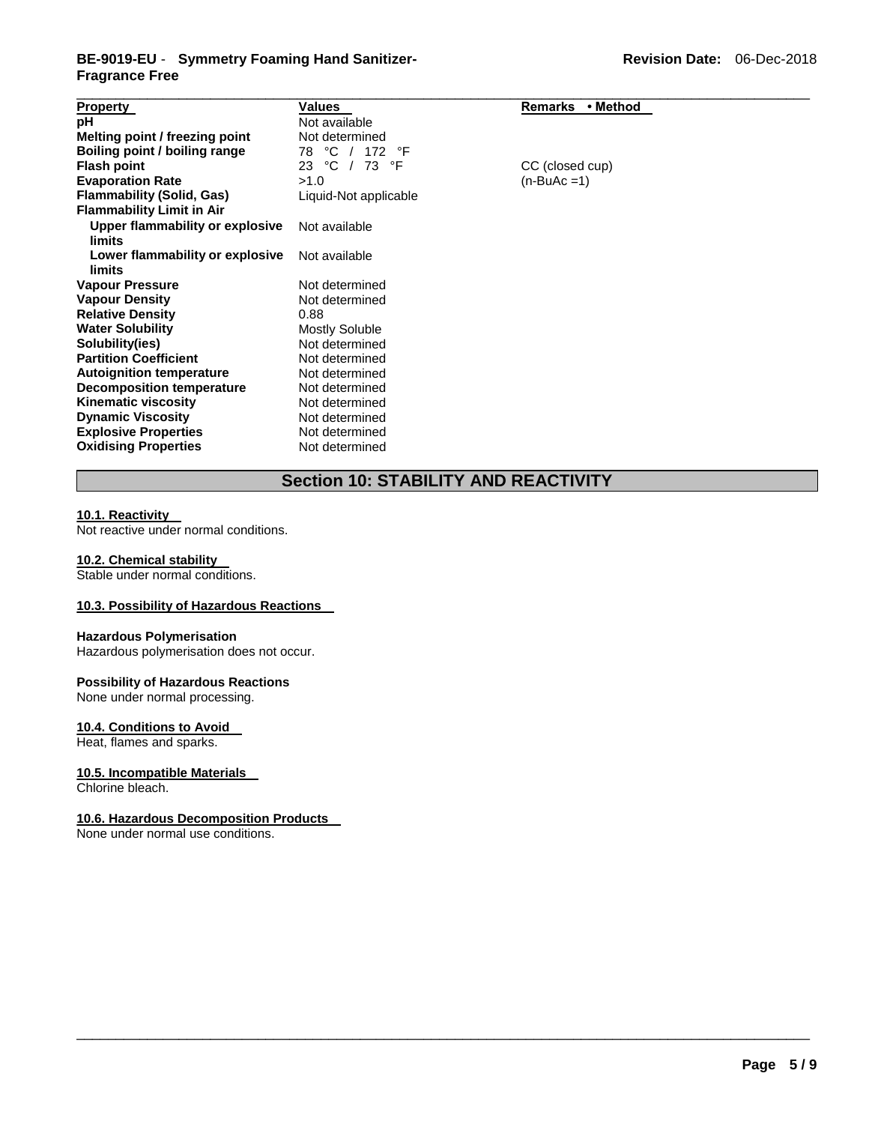### **BE-9019-EU** - **Symmetry Foaming Hand Sanitizer-Fragrance Free**

| <b>Property</b>                  | Values                | Remarks • Method |  |
|----------------------------------|-----------------------|------------------|--|
| рH                               | Not available         |                  |  |
| Melting point / freezing point   | Not determined        |                  |  |
| Boiling point / boiling range    | °C<br>172<br>°F<br>78 |                  |  |
| <b>Flash point</b>               | °C<br>$/73$ °F<br>23  | CC (closed cup)  |  |
| <b>Evaporation Rate</b>          | >1.0                  | $(n-BuAc=1)$     |  |
| <b>Flammability (Solid, Gas)</b> | Liquid-Not applicable |                  |  |
| <b>Flammability Limit in Air</b> |                       |                  |  |
| Upper flammability or explosive  | Not available         |                  |  |
| limits                           |                       |                  |  |
| Lower flammability or explosive  | Not available         |                  |  |
| limits                           |                       |                  |  |
| <b>Vapour Pressure</b>           | Not determined        |                  |  |
| <b>Vapour Density</b>            | Not determined        |                  |  |
| <b>Relative Density</b>          | 0.88                  |                  |  |
| <b>Water Solubility</b>          | <b>Mostly Soluble</b> |                  |  |
| Solubility(ies)                  | Not determined        |                  |  |
| <b>Partition Coefficient</b>     | Not determined        |                  |  |
| <b>Autoignition temperature</b>  | Not determined        |                  |  |
| Decomposition temperature        | Not determined        |                  |  |
| <b>Kinematic viscosity</b>       | Not determined        |                  |  |
| <b>Dynamic Viscosity</b>         | Not determined        |                  |  |
| <b>Explosive Properties</b>      | Not determined        |                  |  |
| <b>Oxidising Properties</b>      | Not determined        |                  |  |

## **Section 10: STABILITY AND REACTIVITY**

\_\_\_\_\_\_\_\_\_\_\_\_\_\_\_\_\_\_\_\_\_\_\_\_\_\_\_\_\_\_\_\_\_\_\_\_\_\_\_\_\_\_\_\_\_\_\_\_\_\_\_\_\_\_\_\_\_\_\_\_\_\_\_\_\_\_\_\_\_\_\_\_\_\_\_\_\_\_\_\_\_\_\_\_\_\_\_\_\_\_\_\_\_

#### **10.1. Reactivity**

Not reactive under normal conditions.

#### **10.2. Chemical stability**

Stable under normal conditions.

### **10.3. Possibility of Hazardous Reactions**

#### **Hazardous Polymerisation**

Hazardous polymerisation does not occur.

#### **Possibility of Hazardous Reactions**

None under normal processing.

#### **10.4. Conditions to Avoid**

Heat, flames and sparks.

#### **10.5. Incompatible Materials**

Chlorine bleach.

#### **10.6. Hazardous Decomposition Products**

None under normal use conditions.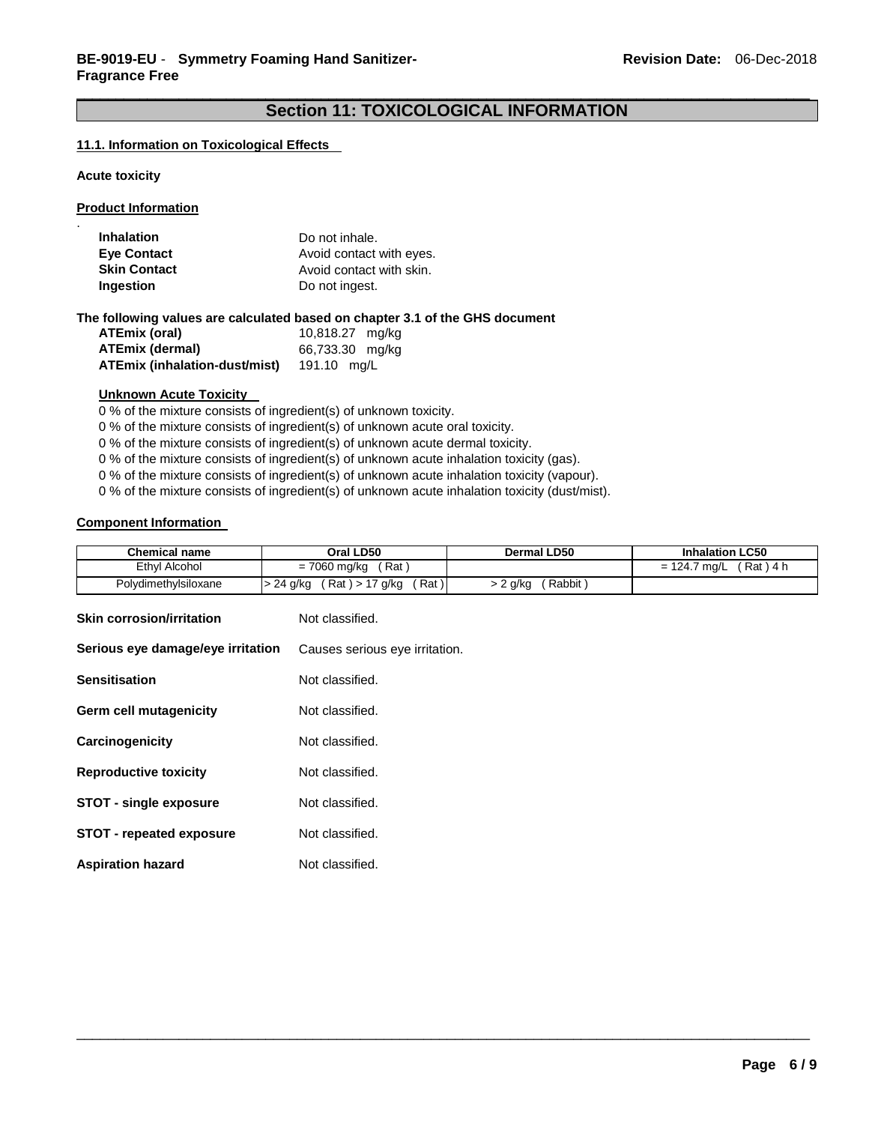### \_\_\_\_\_\_\_\_\_\_\_\_\_\_\_\_\_\_\_\_\_\_\_\_\_\_\_\_\_\_\_\_\_\_\_\_\_\_\_\_\_\_\_\_\_\_\_\_\_\_\_\_\_\_\_\_\_\_\_\_\_\_\_\_\_\_\_\_\_\_\_\_\_\_\_\_\_\_\_\_\_\_\_\_\_\_\_\_\_\_\_\_\_ **Section 11: TOXICOLOGICAL INFORMATION**

#### **11.1. Information on Toxicological Effects**

**Acute toxicity** 

.

**Product Information**

| <b>Inhalation</b><br><b>Eye Contact</b> | Do not inhale.<br>Avoid contact with eyes. |
|-----------------------------------------|--------------------------------------------|
| <b>Skin Contact</b>                     | Avoid contact with skin.                   |
| Ingestion                               | Do not ingest.                             |
|                                         |                                            |

**The following values are calculated based on chapter 3.1 of the GHS document** 

| ATEmix (oral)                 | 10,818.27 mg/kg |  |
|-------------------------------|-----------------|--|
| ATEmix (dermal)               | 66,733.30 mg/kg |  |
| ATEmix (inhalation-dust/mist) | 191.10 ma/L     |  |

#### **Unknown Acute Toxicity**

0 % of the mixture consists of ingredient(s) of unknown toxicity.

0 % of the mixture consists of ingredient(s) of unknown acute oral toxicity.

0 % of the mixture consists of ingredient(s) of unknown acute dermal toxicity.

0 % of the mixture consists of ingredient(s) of unknown acute inhalation toxicity (gas).

0 % of the mixture consists of ingredient(s) of unknown acute inhalation toxicity (vapour).

0 % of the mixture consists of ingredient(s) of unknown acute inhalation toxicity (dust/mist).

### **Component Information**

| <b>Chemical name</b> | Oral LD50                            | Dermal LD50      | <b>Inhalation LC50</b>   |
|----------------------|--------------------------------------|------------------|--------------------------|
| Ethyl Alcohol        | Rat<br>= 7060 mg/kg                  |                  | (Rat)4 h<br>= 124.7 mg/L |
| Polydimethylsiloxane | Rat)<br>(Rat) > 17 g/kg<br>> 24 g/kg | Rabbit<br>2 g/kg |                          |

| <b>Skin corrosion/irritation</b>  | Not classified.                |
|-----------------------------------|--------------------------------|
| Serious eye damage/eye irritation | Causes serious eye irritation. |
| <b>Sensitisation</b>              | Not classified.                |
| Germ cell mutagenicity            | Not classified.                |
| Carcinogenicity                   | Not classified.                |
| <b>Reproductive toxicity</b>      | Not classified.                |
| <b>STOT - single exposure</b>     | Not classified.                |
| <b>STOT - repeated exposure</b>   | Not classified.                |
| <b>Aspiration hazard</b>          | Not classified.                |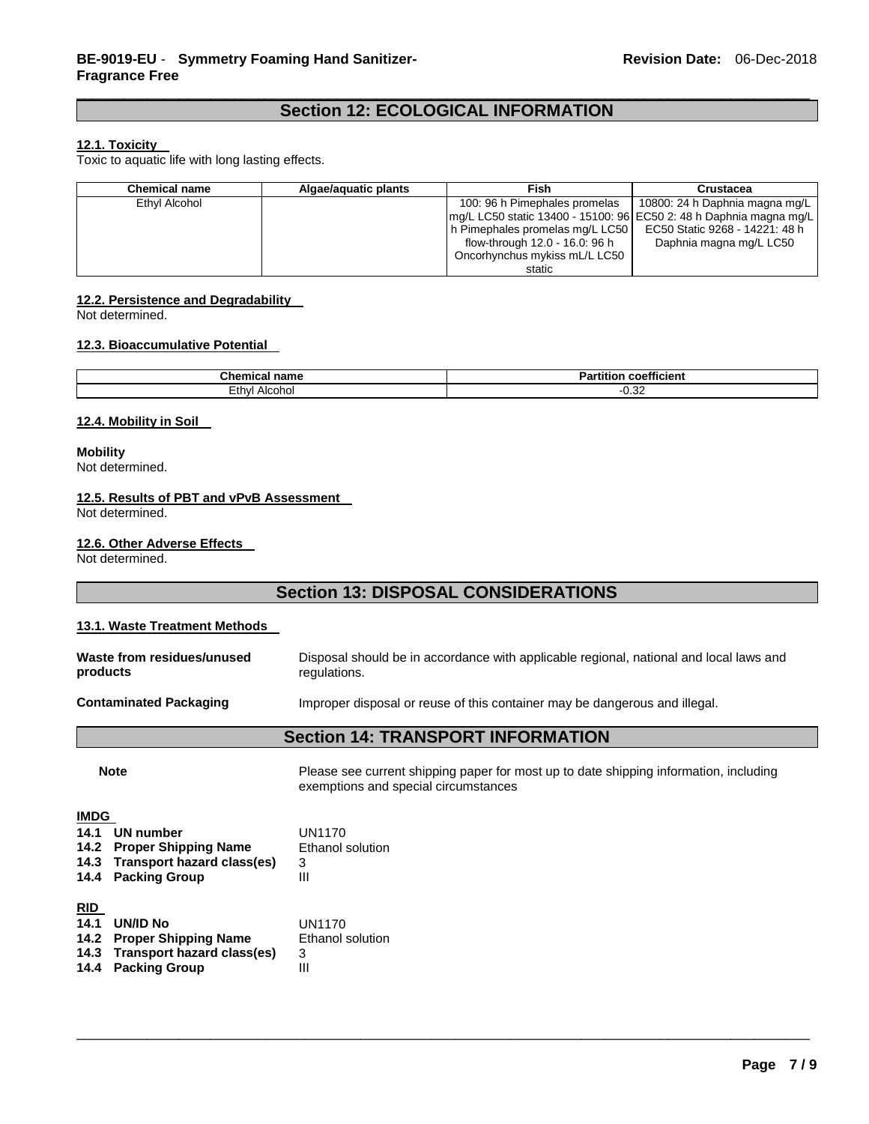### **Section 12: ECOLOGICAL INFORMATION**

#### **12.1. Toxicity**

Toxic to aquatic life with long lasting effects.

| <b>Chemical name</b> | Algae/aguatic plants | Fish                                                               | <b>Crustacea</b>               |
|----------------------|----------------------|--------------------------------------------------------------------|--------------------------------|
| Ethyl Alcohol        |                      | 100: 96 h Pimephales promelas                                      | 10800: 24 h Daphnia magna mg/L |
|                      |                      | mg/L LC50 static 13400 - 15100: 96 EC50 2: 48 h Daphnia magna mg/L |                                |
|                      |                      | h Pimephales promelas mg/L LC50                                    | EC50 Static 9268 - 14221: 48 h |
|                      |                      | flow-through 12.0 - 16.0: 96 h                                     | Daphnia magna mg/L LC50        |
|                      |                      | Oncorhynchus mykiss mL/L LC50                                      |                                |
|                      |                      | static                                                             |                                |

#### **12.2. Persistence and Degradability**

Not determined.

#### **12.3. Bioaccumulative Potential**

| Chemical<br>name      | $-1$<br>coefficient<br>artition |  |  |
|-----------------------|---------------------------------|--|--|
| -<br>Ethyl<br>Alcohoi | $\sim$<br>∪.∪∠                  |  |  |

#### **12.4. Mobility in Soil**

**Mobility** Not determined.

#### **12.5. Results of PBT and vPvB Assessment**

Not determined.

#### **12.6. Other Adverse Effects**

Not determined.

### **Section 13: DISPOSAL CONSIDERATIONS**

### **13.1. Waste Treatment Methods Waste from residues/unused products**  Disposal should be in accordance with applicable regional, national and local laws and regulations. **Contaminated Packaging** Improper disposal or reuse of this container may be dangerous and illegal. **Section 14: TRANSPORT INFORMATION Note Please see current shipping paper for most up to date shipping information, including** exemptions and special circumstances **IMDG 14.1 UN number** UN1170 **14.2 Proper Shipping Name 14.3 Transport hazard class(es)** 3 **14.4 Packing Group** III **RID 14.1 UN/ID No**  UN1170<br>**14.2 Proper Shipping Name** Ethanol solution **14.2 Proper Shipping Name 14.3 Transport hazard class(es)** 3 **14.4 Packing Group**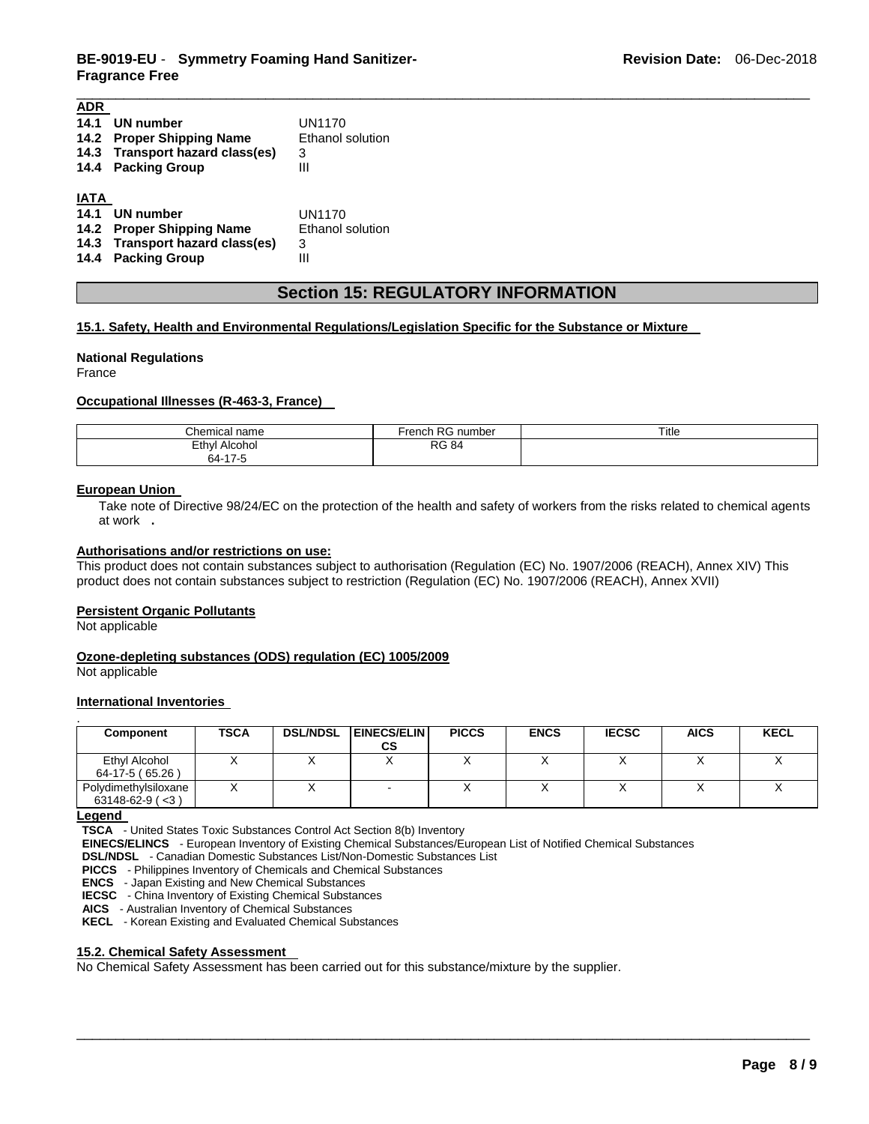### **BE-9019-EU** - **Symmetry Foaming Hand Sanitizer-Fragrance Free**

| ADR         |                                 |                  |
|-------------|---------------------------------|------------------|
| 14.1        | UN number                       | UN1170           |
|             | 14.2 Proper Shipping Name       | Ethanol solution |
|             | 14.3 Transport hazard class(es) | 3                |
|             | 14.4 Packing Group              | Ш                |
|             |                                 |                  |
| <b>IATA</b> |                                 |                  |
| 14.1        | UN number                       | UN1170           |
|             | 14.2 Proper Shipping Name       | Ethanol solution |
|             | 14.3 Transport hazard class(es) | 3                |
| 14.4        | <b>Packing Group</b>            | Ш                |
|             |                                 |                  |

### **Section 15: REGULATORY INFORMATION**

\_\_\_\_\_\_\_\_\_\_\_\_\_\_\_\_\_\_\_\_\_\_\_\_\_\_\_\_\_\_\_\_\_\_\_\_\_\_\_\_\_\_\_\_\_\_\_\_\_\_\_\_\_\_\_\_\_\_\_\_\_\_\_\_\_\_\_\_\_\_\_\_\_\_\_\_\_\_\_\_\_\_\_\_\_\_\_\_\_\_\_\_\_

### **15.1. Safety, Health and Environmental Regulations/Legislation Specific for the Substance or Mixture**

#### **National Regulations**

France

#### **Occupational Illnesses (R-463-3, France)**

| ∩hemica⊢.<br>name                       | D O<br>noh<br>number<br>rer<br>r v<br>ю. | Title |
|-----------------------------------------|------------------------------------------|-------|
| Ethvl<br>Alcohol<br>47 <sup>o</sup><br> | <b>RG 84</b>                             |       |

#### **European Union**

Take note of Directive 98/24/EC on the protection of the health and safety of workers from the risks related to chemical agents at work **.** 

#### **Authorisations and/or restrictions on use:**

This product does not contain substances subject to authorisation (Regulation (EC) No. 1907/2006 (REACH), Annex XIV) This product does not contain substances subject to restriction (Regulation (EC) No. 1907/2006 (REACH), Annex XVII)

#### **Persistent Organic Pollutants**

Not applicable

#### **Ozone-depleting substances (ODS) regulation (EC) 1005/2009**

Not applicable

### **International Inventories**

| Component             | <b>TSCA</b> | <b>DSL/NDSL</b> | <b>EINECS/ELIN</b><br>СS | <b>PICCS</b> | <b>ENCS</b> | <b>IECSC</b> | <b>AICS</b> | <b>KECL</b> |
|-----------------------|-------------|-----------------|--------------------------|--------------|-------------|--------------|-------------|-------------|
|                       |             |                 |                          |              |             |              |             |             |
| Ethyl Alcohol         |             |                 |                          |              |             |              |             |             |
| 64-17-5 (65.26)       |             |                 |                          |              |             |              |             |             |
| Polydimethylsiloxane  |             |                 |                          |              |             |              |             |             |
| $63148-62-9$ ( $<$ 3) |             |                 |                          |              |             |              |             |             |

\_\_\_\_\_\_\_\_\_\_\_\_\_\_\_\_\_\_\_\_\_\_\_\_\_\_\_\_\_\_\_\_\_\_\_\_\_\_\_\_\_\_\_\_\_\_\_\_\_\_\_\_\_\_\_\_\_\_\_\_\_\_\_\_\_\_\_\_\_\_\_\_\_\_\_\_\_\_\_\_\_\_\_\_\_\_\_\_\_\_\_\_\_

#### **Legend**

**TSCA** - United States Toxic Substances Control Act Section 8(b) Inventory

**EINECS/ELINCS** - European Inventory of Existing Chemical Substances/European List of Notified Chemical Substances

**DSL/NDSL** - Canadian Domestic Substances List/Non-Domestic Substances List

**PICCS** - Philippines Inventory of Chemicals and Chemical Substances

**ENCS** - Japan Existing and New Chemical Substances

**IECSC** - China Inventory of Existing Chemical Substances

**AICS** - Australian Inventory of Chemical Substances

**KECL** - Korean Existing and Evaluated Chemical Substances

#### **15.2. Chemical Safety Assessment**

No Chemical Safety Assessment has been carried out for this substance/mixture by the supplier.